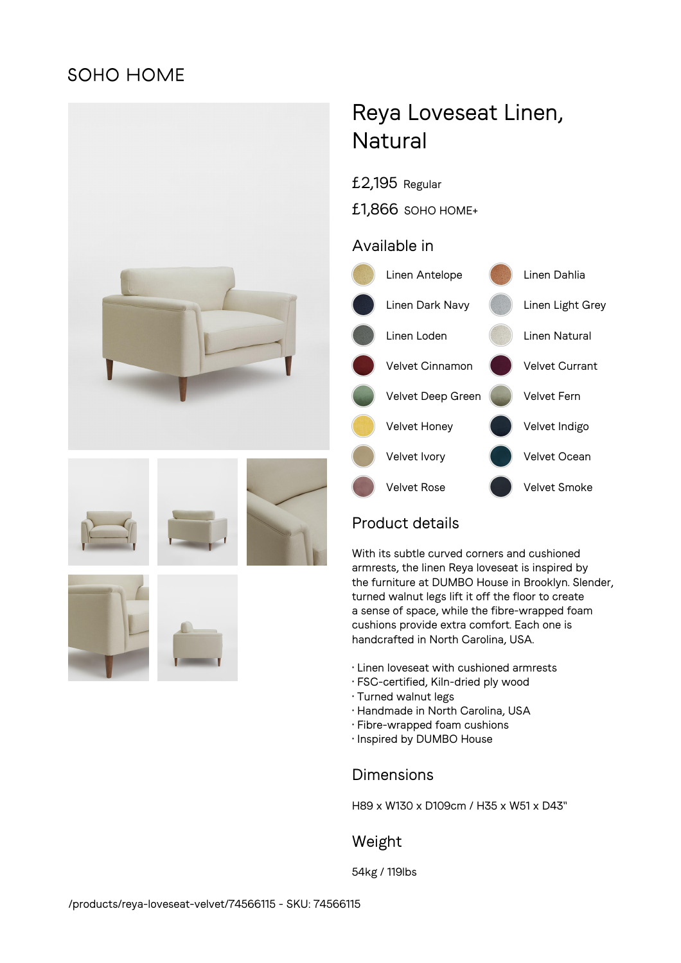## **SOHO HOME**



# Reya Loveseat Linen, **Natural**

£2,195 Regular

£1,866 SOHO HOME+

## Available in

![](_page_0_Figure_6.jpeg)

## Product details

With its subtle curved corners and cushioned armrests, the linen Reya loveseat is inspired by the furniture at DUMBO House in Brooklyn. Slender, turned walnut legs lift it off the floor to create a sense of space, while the fibre-wrapped foam cushions provide extra comfort. Each one is handcrafted in North Carolina, USA.

- Linen loveseat with cushioned armrests
- FSC-certified, Kiln-dried ply wood
- Turned walnut legs
- Handmade in North Carolina, USA
- Fibre-wrapped foam cushions
- Inspired by DUMBO House

## Dimensions

H89 x W130 x D109cm / H35 x W51 x D43"

## Weight

54kg / 119lbs